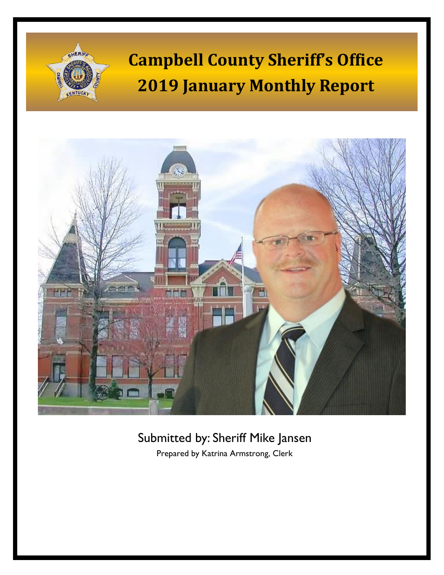# **Campbell County Sheriff's Office 2019 January Monthly Report**

HERI



# Submitted by: Sheriff Mike Jansen

Prepared by Katrina Armstrong, Clerk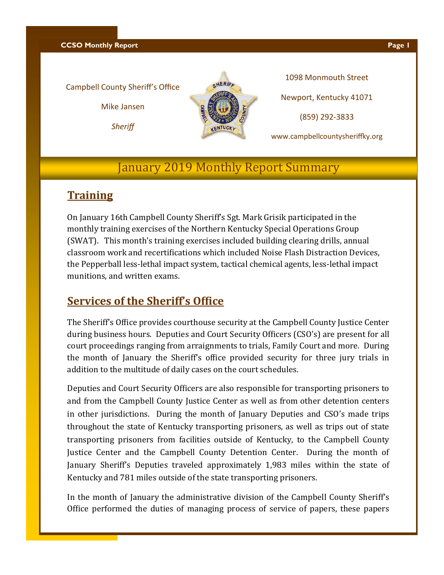**CCSO Monthly Report Page 1** 

#### Campbell County Sheriff's Office

Mike Jansen

*Sheriff*



1098 Monmouth Street Newport, Kentucky 41071 (859) 292-3833

www.campbellcountysheriffky.org

## January 2019 Monthly Report Summary

#### **Training**

On January 16th Campbell County Sheriff's Sgt. Mark Grisik participated in the monthly training exercises of the Northern Kentucky Special Operations Group (SWAT). This month's training exercises included building clearing drills, annual classroom work and recertifications which included Noise Flash Distraction Devices, the Pepperball less-lethal impact system, tactical chemical agents, less-lethal impact munitions, and written exams.

### **Services of the Sheriff's Office**

The Sheriff's Office provides courthouse security at the Campbell County Justice Center during business hours. Deputies and Court Security Officers (CSO's) are present for all court proceedings ranging from arraignments to trials, Family Court and more. During the month of January the Sheriff's office provided security for three jury trials in addition to the multitude of daily cases on the court schedules.

Deputies and Court Security Officers are also responsible for transporting prisoners to and from the Campbell County Justice Center as well as from other detention centers in other jurisdictions. During the month of January Deputies and CSO's made trips throughout the state of Kentucky transporting prisoners, as well as trips out of state transporting prisoners from facilities outside of Kentucky, to the Campbell County Justice Center and the Campbell County Detention Center. During the month of January Sheriff's Deputies traveled approximately 1,983 miles within the state of Kentucky and 781 miles outside of the state transporting prisoners.

In the month of January the administrative division of the Campbell County Sheriff's Office performed the duties of managing process of service of papers, these papers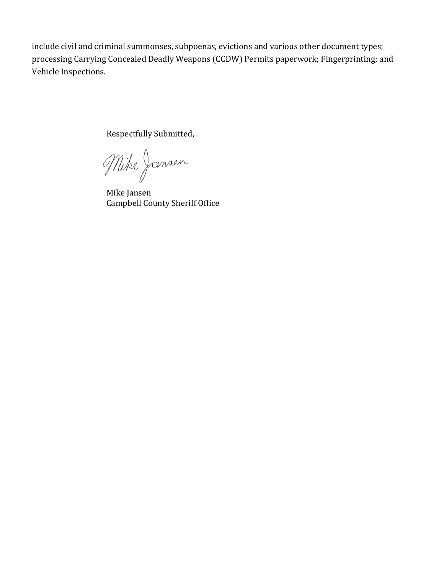include civil and criminal summonses, subpoenas, evictions and various other document types; processing Carrying Concealed Deadly Weapons (CCDW) Permits paperwork; Fingerprinting; and Vehicle Inspections.

Respectfully Submitted,

Mike Jansen

Mike Jansen Campbell County Sheriff Office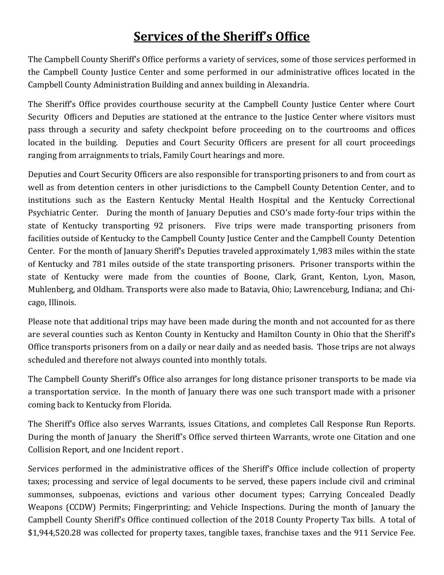# **Services of the Sheriff's Office**

The Campbell County Sheriff's Office performs a variety of services, some of those services performed in the Campbell County Justice Center and some performed in our administrative offices located in the Campbell County Administration Building and annex building in Alexandria.

The Sheriff's Office provides courthouse security at the Campbell County Justice Center where Court Security Officers and Deputies are stationed at the entrance to the Justice Center where visitors must pass through a security and safety checkpoint before proceeding on to the courtrooms and offices located in the building. Deputies and Court Security Officers are present for all court proceedings ranging from arraignments to trials, Family Court hearings and more.

Deputies and Court Security Officers are also responsible for transporting prisoners to and from court as well as from detention centers in other jurisdictions to the Campbell County Detention Center, and to institutions such as the Eastern Kentucky Mental Health Hospital and the Kentucky Correctional Psychiatric Center. During the month of January Deputies and CSO's made forty-four trips within the state of Kentucky transporting 92 prisoners. Five trips were made transporting prisoners from facilities outside of Kentucky to the Campbell County Justice Center and the Campbell County Detention Center. For the month of January Sheriff's Deputies traveled approximately 1,983 miles within the state of Kentucky and 781 miles outside of the state transporting prisoners. Prisoner transports within the state of Kentucky were made from the counties of Boone, Clark, Grant, Kenton, Lyon, Mason, Muhlenberg, and Oldham. Transports were also made to Batavia, Ohio; Lawrenceburg, Indiana; and Chicago, Illinois.

Please note that additional trips may have been made during the month and not accounted for as there are several counties such as Kenton County in Kentucky and Hamilton County in Ohio that the Sheriff's Office transports prisoners from on a daily or near daily and as needed basis. Those trips are not always scheduled and therefore not always counted into monthly totals.

The Campbell County Sheriff's Office also arranges for long distance prisoner transports to be made via a transportation service. In the month of January there was one such transport made with a prisoner coming back to Kentucky from Florida.

The Sheriff's Office also serves Warrants, issues Citations, and completes Call Response Run Reports. During the month of January the Sheriff's Office served thirteen Warrants, wrote one Citation and one Collision Report, and one Incident report .

Services performed in the administrative offices of the Sheriff's Office include collection of property taxes; processing and service of legal documents to be served, these papers include civil and criminal summonses, subpoenas, evictions and various other document types; Carrying Concealed Deadly Weapons (CCDW) Permits; Fingerprinting; and Vehicle Inspections. During the month of January the Campbell County Sheriff's Office continued collection of the 2018 County Property Tax bills. A total of \$1,944,520.28 was collected for property taxes, tangible taxes, franchise taxes and the 911 Service Fee.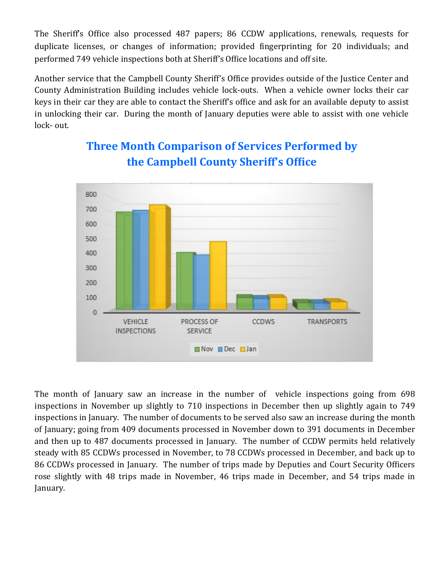The Sheriff's Office also processed 487 papers; 86 CCDW applications, renewals, requests for duplicate licenses, or changes of information; provided fingerprinting for 20 individuals; and performed 749 vehicle inspections both at Sheriff's Office locations and off site.

Another service that the Campbell County Sheriff's Office provides outside of the Justice Center and County Administration Building includes vehicle lock-outs. When a vehicle owner locks their car keys in their car they are able to contact the Sheriff's office and ask for an available deputy to assist in unlocking their car. During the month of January deputies were able to assist with one vehicle lock- out.



# **Three Month Comparison of Services Performed by the Campbell County Sheriff's Office**

The month of January saw an increase in the number of vehicle inspections going from 698 inspections in November up slightly to 710 inspections in December then up slightly again to 749 inspections in January. The number of documents to be served also saw an increase during the month of January; going from 409 documents processed in November down to 391 documents in December and then up to 487 documents processed in January. The number of CCDW permits held relatively steady with 85 CCDWs processed in November, to 78 CCDWs processed in December, and back up to 86 CCDWs processed in January. The number of trips made by Deputies and Court Security Officers rose slightly with 48 trips made in November, 46 trips made in December, and 54 trips made in January.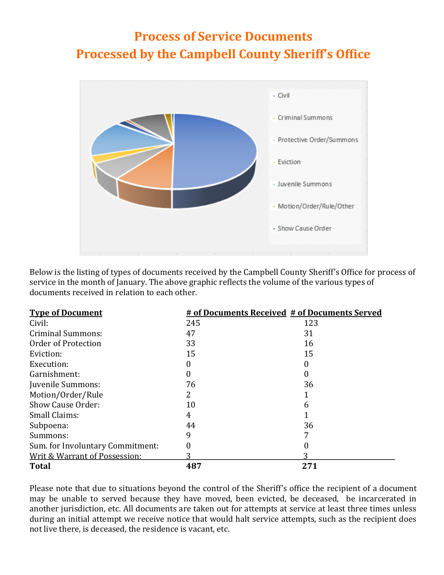# **Process of Service Documents Processed by the Campbell County Sheriff's Office**



Below is the listing of types of documents received by the Campbell County Sheriff's Office for process of service in the month of January. The above graphic reflects the volume of the various types of documents received in relation to each other.

| <b>Type of Document</b>          | # of Documents Received # of Documents Served |     |
|----------------------------------|-----------------------------------------------|-----|
| Civil:                           | 245                                           | 123 |
| <b>Criminal Summons:</b>         | 47                                            | 31  |
| Order of Protection              | 33                                            | 16  |
| Eviction:                        | 15                                            | 15  |
| Execution:                       |                                               |     |
| Garnishment:                     |                                               |     |
| Juvenile Summons:                | 76                                            | 36  |
| Motion/Order/Rule                |                                               |     |
| Show Cause Order:                | 10                                            | h   |
| Small Claims:                    | 4                                             |     |
| Subpoena:                        | 44                                            | 36  |
| Summons:                         | 9                                             |     |
| Sum. for Involuntary Commitment: |                                               |     |
| Writ & Warrant of Possession:    |                                               |     |
| <b>Total</b>                     | 487                                           | 271 |

Please note that due to situations beyond the control of the Sheriff's office the recipient of a document may be unable to served because they have moved, been evicted, be deceased, be incarcerated in another jurisdiction, etc. All documents are taken out for attempts at service at least three times unless during an initial attempt we receive notice that would halt service attempts, such as the recipient does not live there, is deceased, the residence is vacant, etc.